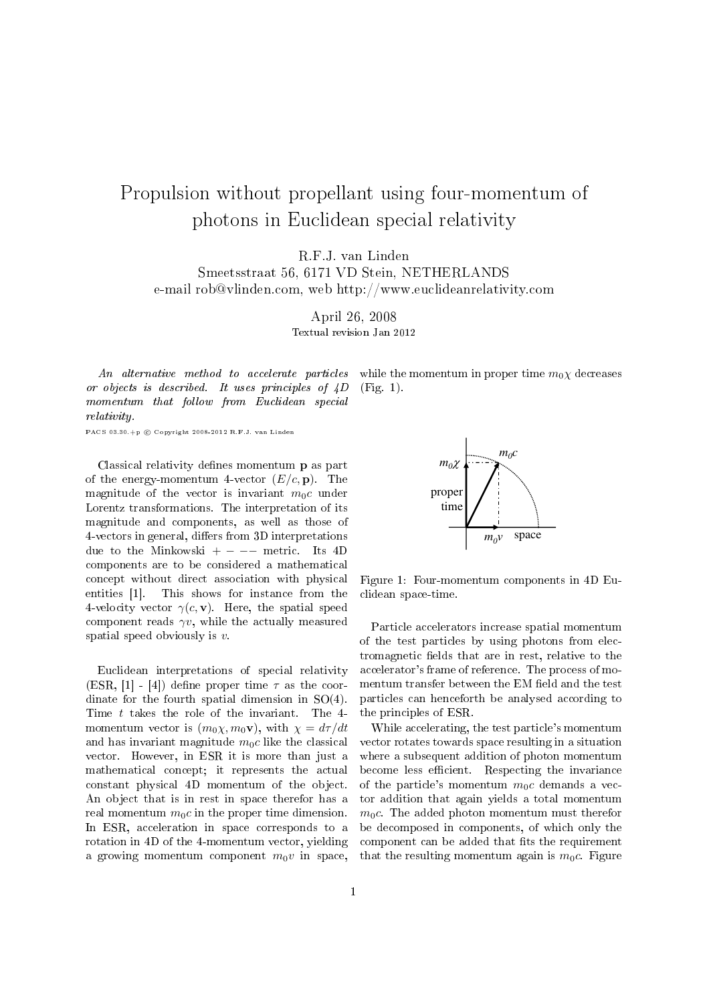## Propulsion without propellant using four-momentum of photons in Euclidean special relativity

R.F.J. van Linden

Smeetsstraat 56, 6171 VD Stein, NETHERLANDS e-mail rob@vlinden.com, web http://www.euclideanrelativity.com

> April 26, 2008 Textual revision Jan 2012

An alternative method to accelerate particles or objects is described. It uses principles of 4D momentum that follow from Euclidean special relativity.

PACS 03.30.+p  $\odot$  Copyright 2008-2012 R.F.J. van Linder

Classical relativity defines momentum **p** as part of the energy-momentum 4-vector  $(E/c, \mathbf{p})$ . The magnitude of the vector is invariant  $m_0c$  under Lorentz transformations. The interpretation of its magnitude and components, as well as those of 4-vectors in general, differs from 3D interpretations due to the Minkowski +  $-$  metric. Its 4D components are to be considered a mathematical concept without direct association with physical entities [1]. This shows for instance from the 4-velocity vector  $\gamma(c, \mathbf{v})$ . Here, the spatial speed component reads  $\gamma v$ , while the actually measured spatial speed obviously is  $v$ .

Euclidean interpretations of special relativity (ESR, [1] - [4]) define proper time  $\tau$  as the coordinate for the fourth spatial dimension in SO(4). Time t takes the role of the invariant. The 4 momentum vector is  $(m_0\chi, m_0\mathbf{v})$ , with  $\chi = d\tau/dt$ and has invariant magnitude  $m_0c$  like the classical vector. However, in ESR it is more than just a mathematical concept; it represents the actual constant physical 4D momentum of the object. An object that is in rest in space therefor has a real momentum  $m_0c$  in the proper time dimension. In ESR, acceleration in space corresponds to a rotation in 4D of the 4-momentum vector, yielding a growing momentum component  $m_0v$  in space, while the momentum in proper time  $m_0\chi$  decreases (Fig. 1).



Figure 1: Four-momentum components in 4D Euclidean space-time.

Particle accelerators increase spatial momentum of the test particles by using photons from electromagnetic fields that are in rest, relative to the accelerator's frame of reference. The process of momentum transfer between the EM field and the test particles can henceforth be analysed according to the principles of ESR.

While accelerating, the test particle's momentum vector rotates towards space resulting in a situation where a subsequent addition of photon momentum become less efficient. Respecting the invariance of the particle's momentum  $m_0c$  demands a vector addition that again yields a total momentum  $m_0c$ . The added photon momentum must therefor be decomposed in components, of which only the component can be added that fits the requirement that the resulting momentum again is  $m_0c$ . Figure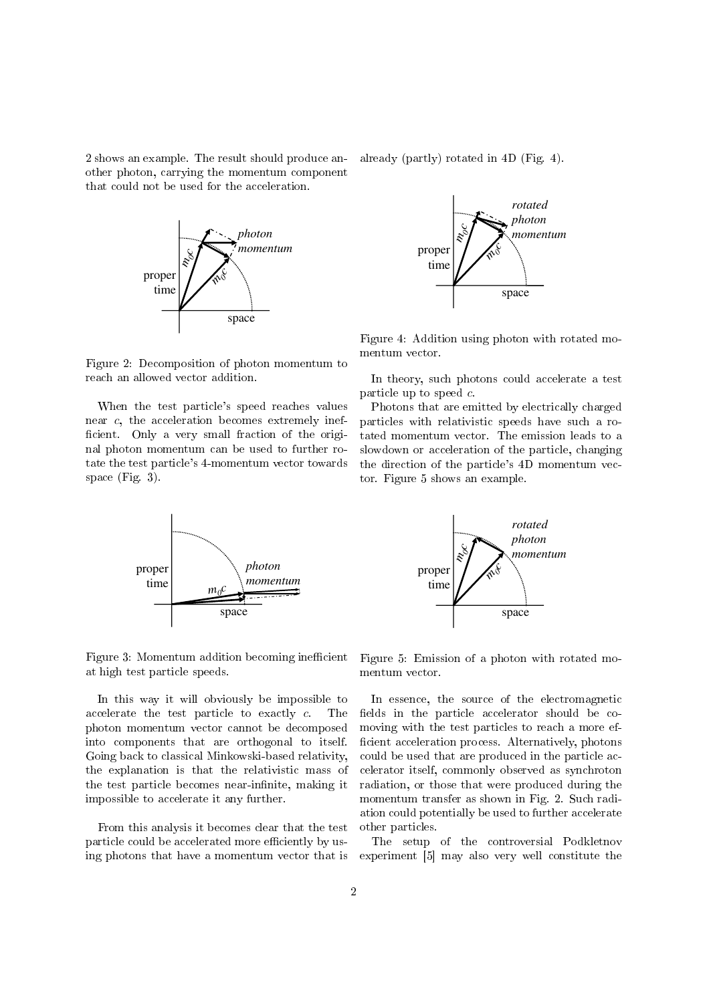2 shows an example. The result should produce another photon, carrying the momentum component that could not be used for the acceleration.



Figure 2: Decomposition of photon momentum to reach an allowed vector addition.

When the test particle's speed reaches values near c, the acceleration becomes extremely inef ficient. Only a very small fraction of the original photon momentum can be used to further rotate the test particle's 4-momentum vector towards space (Fig. 3).



Figure 4: Addition using photon with rotated momentum vector.

In theory, such photons could accelerate a test particle up to speed c.

Photons that are emitted by electrically charged particles with relativistic speeds have such a rotated momentum vector. The emission leads to a slowdown or acceleration of the particle, changing the direction of the particle's 4D momentum vector. Figure 5 shows an example.





Figure 3: Momentum addition becoming inefficient at high test particle speeds.

In this way it will obviously be impossible to accelerate the test particle to exactly c. The photon momentum vector cannot be decomposed into components that are orthogonal to itself. Going back to classical Minkowski-based relativity, the explanation is that the relativistic mass of the test particle becomes near-infinite, making it impossible to accelerate it any further.

From this analysis it becomes clear that the test particle could be accelerated more efficiently by using photons that have a momentum vector that is Figure 5: Emission of a photon with rotated momentum vector.

In essence, the source of the electromagnetic fields in the particle accelerator should be comoving with the test particles to reach a more ef ficient acceleration process. Alternatively, photons could be used that are produced in the particle accelerator itself, commonly observed as synchroton radiation, or those that were produced during the momentum transfer as shown in Fig. 2. Such radiation could potentially be used to further accelerate other particles.

The setup of the controversial Podkletnov experiment [5] may also very well constitute the

already (partly) rotated in 4D (Fig. 4).